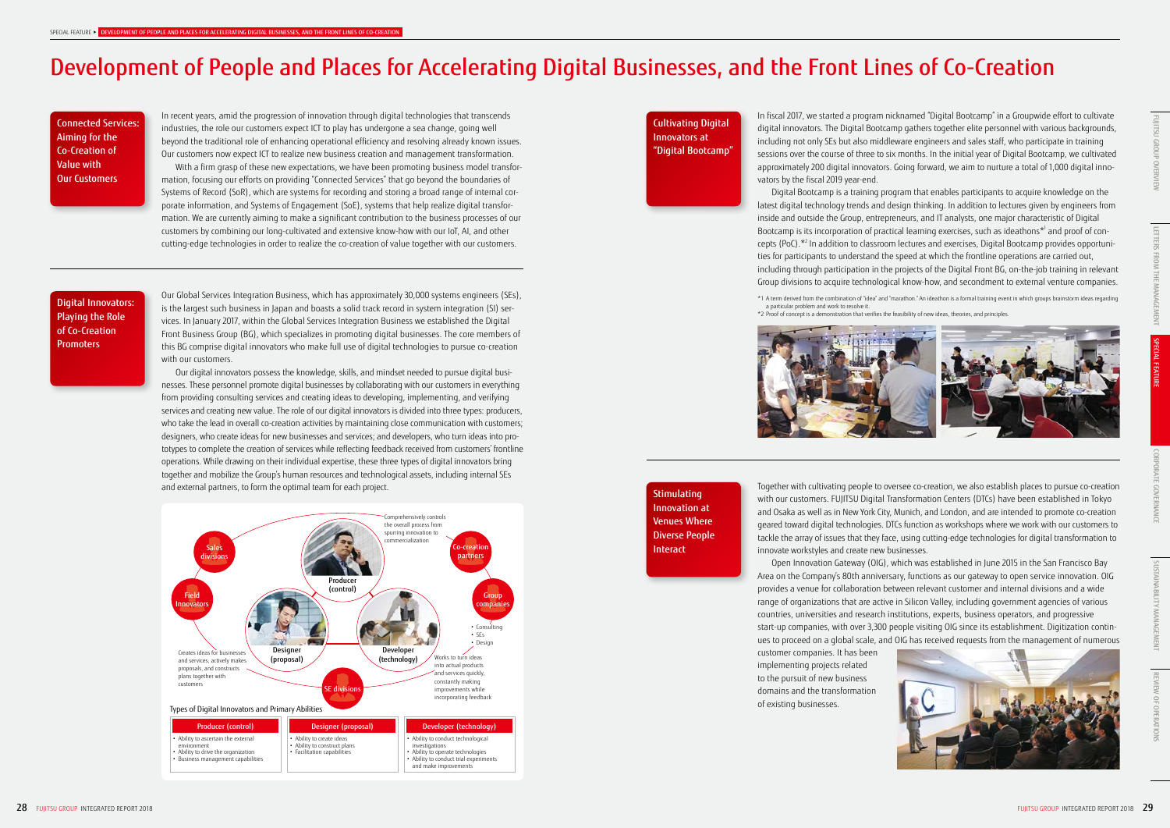# Development of People and Places for Accelerating Digital Businesses, and the Front Lines of Co-Creation

Digital Innovators: Playing the Role of Co-Creation **Promoters** 

Connected Services: Aiming for the Co-Creation of Value with Our Customers

Cultivating Digital Innovators at "Digital Bootcamp"

In recent years, amid the progression of innovation through digital technologies that transcends industries, the role our customers expect ICT to play has undergone a sea change, going well beyond the traditional role of enhancing operational efficiency and resolving already known issues. Our customers now expect ICT to realize new business creation and management transformation.

With a firm grasp of these new expectations, we have been promoting business model transformation, focusing our efforts on providing "Connected Services" that go beyond the boundaries of Systems of Record (SoR), which are systems for recording and storing a broad range of internal corporate information, and Systems of Engagement (SoE), systems that help realize digital transformation. We are currently aiming to make a significant contribution to the business processes of our customers by combining our long-cultivated and extensive know-how with our IoT, AI, and other cutting-edge technologies in order to realize the co-creation of value together with our customers.

In fiscal 2017, we started a program nicknamed "Digital Bootcamp" in a Groupwide effort to cultivate digital innovators. The Digital Bootcamp gathers together elite personnel with various backgrounds, including not only SEs but also middleware engineers and sales staff, who participate in training sessions over the course of three to six months. In the initial year of Digital Bootcamp, we cultivated approximately 200 digital innovators. Going forward, we aim to nurture a total of 1,000 digital innovators by the fiscal 2019 year-end.

Digital Bootcamp is a training program that enables participants to acquire knowledge on the latest digital technology trends and design thinking. In addition to lectures given by engineers from inside and outside the Group, entrepreneurs, and IT analysts, one major characteristic of Digital Bootcamp is its incorporation of practical learning exercises, such as ideathons\*1 and proof of concepts (PoC).\*2 In addition to classroom lectures and exercises, Digital Bootcamp provides opportunities for participants to understand the speed at which the frontline operations are carried out, including through participation in the projects of the Digital Front BG, on-the-job training in relevant Group divisions to acquire technological know-how, and secondment to external venture companies.

and external partners, to form the optimal team for each project. The match the community of the community of the community of the community of the community of the community of the community of the community of the commun with our customers. FUJITSU Digital Transformation Centers (DTCs) have been established in Tokyo and Osaka as well as in New York City, Munich, and London, and are intended to promote co-creation geared toward digital technologies. DTCs function as workshops where we work with our customers to tackle the array of issues that they face, using cutting-edge technologies for digital transformation to innovate workstyles and create new businesses.

\*1 A term derived from the combination of "idea" and "marathon." An ideathon is a formal training event in which groups brainstorm ideas regarding a particular problem and work to resolve it. \*2 Proof of concept is a demonstration that verifies the feasibility of new ideas, theories, and principles.



**Stimulating** Innovation at Venues Where Diverse People **Interact** 

Our Global Services Integration Business, which has approximately 30,000 systems engineers (SEs), is the largest such business in Japan and boasts a solid track record in system integration (SI) services. In January 2017, within the Global Services Integration Business we established the Digital Front Business Group (BG), which specializes in promoting digital businesses. The core members of this BG comprise digital innovators who make full use of digital technologies to pursue co-creation with our customers.

Our digital innovators possess the knowledge, skills, and mindset needed to pursue digital businesses. These personnel promote digital businesses by collaborating with our customers in everything from providing consulting services and creating ideas to developing, implementing, and verifying services and creating new value. The role of our digital innovators is divided into three types: producers, who take the lead in overall co-creation activities by maintaining close communication with customers; designers, who create ideas for new businesses and services; and developers, who turn ideas into prototypes to complete the creation of services while reflecting feedback received from customers' frontline operations. While drawing on their individual expertise, these three types of digital innovators bring together and mobilize the Group's human resources and technological assets, including internal SEs

> Open Innovation Gateway (OIG), which was established in June 2015 in the San Francisco Bay Area on the Company's 80th anniversary, functions as our gateway to open service innovation. OIG provides a venue for collaboration between relevant customer and internal divisions and a wide range of organizations that are active in Silicon Valley, including government agencies of various countries, universities and research institutions, experts, business operators, and progressive start-up companies, with over 3,300 people visiting OIG since its establishment. Digitization continues to proceed on a global scale, and OIG has received requests from the management of numerous





customer companies. It has been implementing projects related to the pursuit of new business domains and the transformation of existing businesses.



CORPORATE GOVERNANCE

SUSTAINABILITY MANAGEMENT

**AGEMENT**